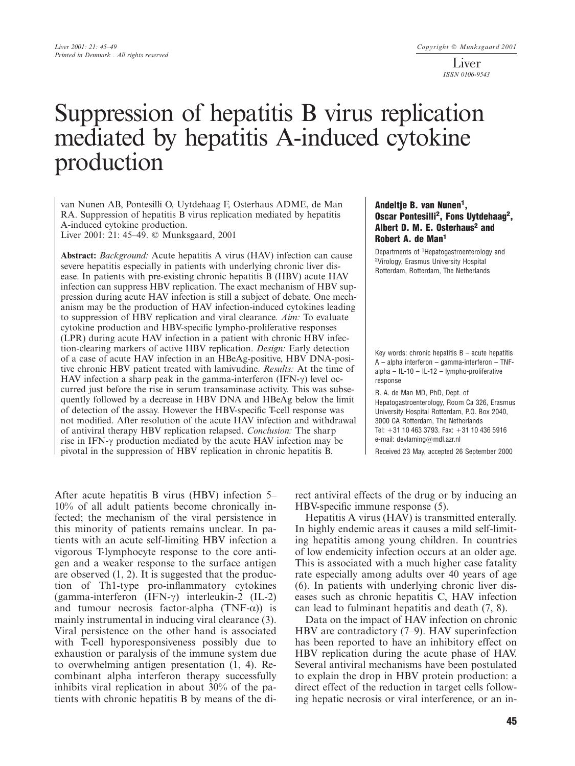Liver *ISSN 0106-9543*

# Suppression of hepatitis B virus replication mediated by hepatitis A-induced cytokine production

van Nunen AB, Pontesilli O, Uytdehaag F, Osterhaus ADME, de Man RA. Suppression of hepatitis B virus replication mediated by hepatitis **Oscar Pontesilli<sup>2</sup>, Fons Uytdehaag<sup>2</sup>,** A-induced cytokine production. **All albert D. M. E. Osterhaus<sup>2</sup> and** A-induced cytokine production.<br>Liver 2001: 21: 45–49. © Munksgaard, 2001 **Robert A. de Man<sup>1</sup>** Robert A. de Man<sup>1</sup>

Abstract: *Background:* Acute hepatitis A virus (HAV) infection can cause severe hepatitis especially in patients with underlying chronic liver dis-View Hospital sepecially in patients with underlying chronic liver dis-<br>ease. In patients with pre-existing chronic hepatitis B (HBV) acute HAV acute HAV acute HAV acute HAV acute HAV acute HAV acute HAV acute HAV acute HA infection can suppress HBV replication. The exact mechanism of HBV suppression during acute HAV infection is still a subject of debate. One mechanism may be the production of HAV infection-induced cytokines leading to suppression of HBV replication and viral clearance. *Aim:* To evaluate cytokine production and HBV-specific lympho-proliferative responses (LPR) during acute HAV infection in a patient with chronic HBV infection-clearing markers of active HBV replication. *Design*: Early detection<br>of a case of acute HAV infection in an HBeAg-positive, HBV DNA-posi-<br>tive chronic HBV patient treated with lamivudine. *Results*: At the time of<br>a tive chronic HBV patient treated with lamivudine. *Results:* At the time of HAV infection a sharp peak in the gamma-interferon  $(IFN-\gamma)$  level oc- response curred just before the rise in serum transaminase activity. This was subse-  $\parallel$  R. A. de Man MD, PhD, Dept. of quently followed by a decrease in HBV DNA and HBeAg below the limit | Hepatogastroenterology, Room Ca 326, Erasmus of detection of the assay. However the HBV-specific T-cell response was University Hospital Rotterdam, P.O. Box 2040, not modified. After resolution of the acute HAV infection and withdrawal 3000 CA Rotterdam, The Netherlands<br>of antiviral therapy HBV replication relapsed Conclusion: The sharp [[1] +31.10.463.3793 Fax: +31.10.436.5916 of antiviral therapy HBV replication relapsed. *Conclusion:* The sharp Tel: +31 10 463 3793. Fax: +<br>
rise in IFN-γ production mediated by the acute HAV infection may be e-mail: devlaming@mdl.azr.nl rise in IFN- $\gamma$  production mediated by the acute HAV infection may be pivotal in the suppression of HBV replication in chronic hepatitis B. Received 23 May, accepted 26 September 2000

Andeltje B. van Nunen<sup>1</sup>, **, Fons Uytdehaag<sup>2</sup>**

Departments of <sup>1</sup>Hepatogastroenterology and<br><sup>2</sup>Virology, Erasmus University Hospital

After acute hepatitis B virus (HBV) infection 5– 10% of all adult patients become chronically infected; the mechanism of the viral persistence in this minority of patients remains unclear. In patients with an acute self-limiting HBV infection a vigorous T-lymphocyte response to the core antigen and a weaker response to the surface antigen are observed (1, 2). It is suggested that the production of Th1-type pro-inflammatory cytokines (gamma-interferon  $(IFN-\gamma)$  interleukin-2  $(IL-2)$ ) and tumour necrosis factor-alpha  $(TNF-\alpha)$  is mainly instrumental in inducing viral clearance (3). Viral persistence on the other hand is associated with T-cell hyporesponsiveness possibly due to exhaustion or paralysis of the immune system due to overwhelming antigen presentation (1, 4). Recombinant alpha interferon therapy successfully inhibits viral replication in about 30% of the patients with chronic hepatitis B by means of the direct antiviral effects of the drug or by inducing an HBV-specific immune response (5).

Hepatitis A virus (HAV) is transmitted enterally. In highly endemic areas it causes a mild self-limiting hepatitis among young children. In countries of low endemicity infection occurs at an older age. This is associated with a much higher case fatality rate especially among adults over 40 years of age (6). In patients with underlying chronic liver diseases such as chronic hepatitis C, HAV infection can lead to fulminant hepatitis and death (7, 8).

Data on the impact of HAV infection on chronic HBV are contradictory (7–9). HAV superinfection has been reported to have an inhibitory effect on HBV replication during the acute phase of HAV. Several antiviral mechanisms have been postulated to explain the drop in HBV protein production: a direct effect of the reduction in target cells following hepatic necrosis or viral interference, or an in-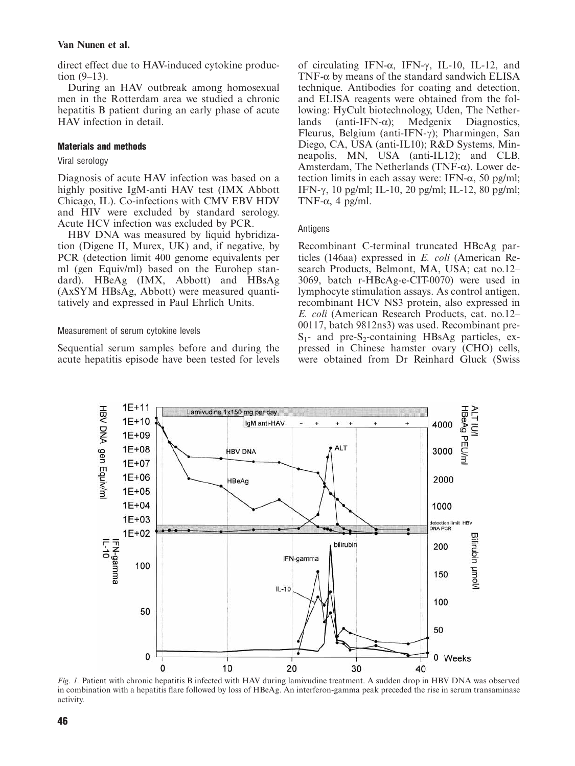# **Van Nunen et al.**

direct effect due to HAV-induced cytokine production (9–13).

During an HAV outbreak among homosexual men in the Rotterdam area we studied a chronic hepatitis B patient during an early phase of acute HAV infection in detail.

#### **Materials and methods**

## Viral serology

Diagnosis of acute HAV infection was based on a highly positive IgM-anti HAV test (IMX Abbott Chicago, IL). Co-infections with CMV EBV HDV and HIV were excluded by standard serology. Acute HCV infection was excluded by PCR.

HBV DNA was measured by liquid hybridization (Digene II, Murex, UK) and, if negative, by PCR (detection limit 400 genome equivalents per ml (gen Equiv/ml) based on the Eurohep standard). HBeAg (IMX, Abbott) and HBsAg (AxSYM HBsAg, Abbott) were measured quantitatively and expressed in Paul Ehrlich Units.

#### Measurement of serum cytokine levels

Sequential serum samples before and during the acute hepatitis episode have been tested for levels of circulating IFN- $\alpha$ , IFN- $\gamma$ , IL-10, IL-12, and TNF- $\alpha$  by means of the standard sandwich ELISA technique. Antibodies for coating and detection, and ELISA reagents were obtained from the following: HyCult biotechnology, Uden, The Netherlands  $(anti-IFN-\alpha)$ ; Medgenix Diagnostics, Fleurus, Belgium (anti-IFN-g); Pharmingen, San Diego, CA, USA (anti-IL10); R&D Systems, Minneapolis, MN, USA (anti-IL12); and CLB, Amsterdam, The Netherlands (TNF- $\alpha$ ). Lower detection limits in each assay were: IFN- $\alpha$ , 50 pg/ml; IFN-g, 10 pg/ml; IL-10, 20 pg/ml; IL-12, 80 pg/ml; TNF- $\alpha$ , 4 pg/ml.

#### Antigens

Recombinant C-terminal truncated HBcAg particles (146aa) expressed in *E. coli* (American Research Products, Belmont, MA, USA; cat no.12– 3069, batch r-HBcAg-e-CIT-0070) were used in lymphocyte stimulation assays. As control antigen, recombinant HCV NS3 protein, also expressed in *E. coli* (American Research Products, cat. no.12– 00117, batch 9812ns3) was used. Recombinant pre- $S_1$ - and pre-S<sub>2</sub>-containing HBsAg particles, expressed in Chinese hamster ovary (CHO) cells, were obtained from Dr Reinhard Gluck (Swiss



*Fig. 1.* Patient with chronic hepatitis B infected with HAV during lamivudine treatment. A sudden drop in HBV DNA was observed in combination with a hepatitis flare followed by loss of HBeAg. An interferon-gamma peak preceded the rise in serum transaminase activity.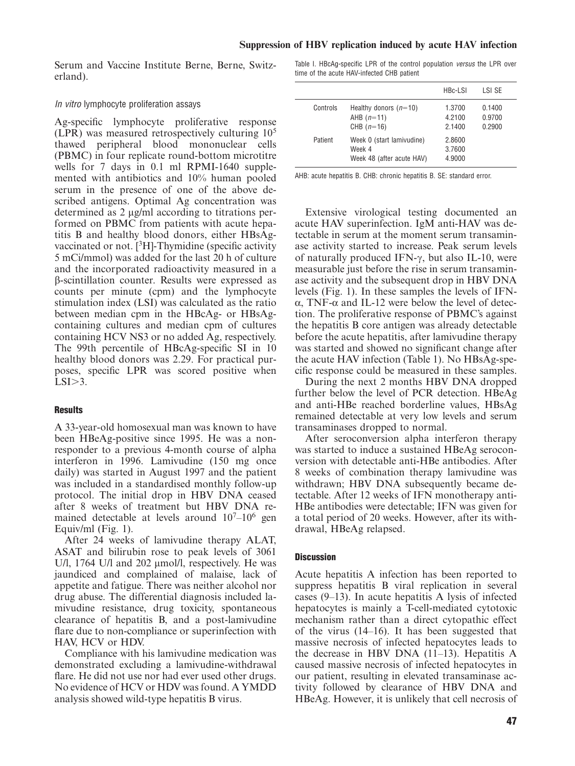Serum and Vaccine Institute Berne, Berne, Switzerland).

#### In vitro lymphocyte proliferation assays

Ag-specific lymphocyte proliferative response (LPR) was measured retrospectively culturing 105 thawed peripheral blood mononuclear cells (PBMC) in four replicate round-bottom microtitre wells for 7 days in 0.1 ml RPMI-1640 supplemented with antibiotics and 10% human pooled serum in the presence of one of the above described antigens. Optimal Ag concentration was determined as  $2 \mu g/ml$  according to titrations performed on PBMC from patients with acute hepatitis B and healthy blood donors, either HBsAgvaccinated or not.  $[{}^{3}H]$ -Thymidine (specific activity 5 mCi/mmol) was added for the last 20 h of culture and the incorporated radioactivity measured in a b-scintillation counter. Results were expressed as counts per minute (cpm) and the lymphocyte stimulation index (LSI) was calculated as the ratio between median cpm in the HBcAg- or HBsAgcontaining cultures and median cpm of cultures containing HCV NS3 or no added Ag, respectively. The 99th percentile of HBcAg-specific SI in 10 healthy blood donors was 2.29. For practical purposes, specific LPR was scored positive when  $LSI>3.$ 

## **Results**

A 33-year-old homosexual man was known to have been HBeAg-positive since 1995. He was a nonresponder to a previous 4-month course of alpha interferon in 1996. Lamivudine (150 mg once daily) was started in August 1997 and the patient was included in a standardised monthly follow-up protocol. The initial drop in HBV DNA ceased after 8 weeks of treatment but HBV DNA remained detectable at levels around  $10^{7}-10^{6}$  gen Equiv/ml (Fig. 1).

After 24 weeks of lamivudine therapy ALAT, ASAT and bilirubin rose to peak levels of 3061 U/l, 1764 U/l and 202 µmol/l, respectively. He was jaundiced and complained of malaise, lack of appetite and fatigue. There was neither alcohol nor drug abuse. The differential diagnosis included lamivudine resistance, drug toxicity, spontaneous clearance of hepatitis B, and a post-lamivudine flare due to non-compliance or superinfection with HAV, HCV or HDV.

Compliance with his lamivudine medication was demonstrated excluding a lamivudine-withdrawal flare. He did not use nor had ever used other drugs. No evidence of HCV or HDV was found. A YMDD analysis showed wild-type hepatitis B virus.

Table I. HBcAg-specific LPR of the control population *versus* the LPR over time of the acute HAV-infected CHB patient

|          |                                                                  | HBc-LSI                    | LSI SE                     |
|----------|------------------------------------------------------------------|----------------------------|----------------------------|
| Controls | Healthy donors $(n=10)$<br>AHB $(n=11)$<br>CHB $(n=16)$          | 1.3700<br>4.2100<br>2.1400 | 0.1400<br>0.9700<br>0.2900 |
| Patient  | Week 0 (start lamivudine)<br>Week 4<br>Week 48 (after acute HAV) | 2.8600<br>3.7600<br>4.9000 |                            |

AHB: acute hepatitis B. CHB: chronic hepatitis B. SE: standard error.

Extensive virological testing documented an acute HAV superinfection. IgM anti-HAV was detectable in serum at the moment serum transaminase activity started to increase. Peak serum levels of naturally produced IFN- $\gamma$ , but also IL-10, were measurable just before the rise in serum transaminase activity and the subsequent drop in HBV DNA levels (Fig. 1). In these samples the levels of IFN- $\alpha$ , TNF- $\alpha$  and IL-12 were below the level of detection. The proliferative response of PBMC's against the hepatitis B core antigen was already detectable before the acute hepatitis, after lamivudine therapy was started and showed no significant change after the acute HAV infection (Table 1). No HBsAg-specific response could be measured in these samples.

During the next 2 months HBV DNA dropped further below the level of PCR detection. HBeAg and anti-HBe reached borderline values, HBsAg remained detectable at very low levels and serum transaminases dropped to normal.

After seroconversion alpha interferon therapy was started to induce a sustained HBeAg seroconversion with detectable anti-HBe antibodies. After 8 weeks of combination therapy lamivudine was withdrawn; HBV DNA subsequently became detectable. After 12 weeks of IFN monotherapy anti-HBe antibodies were detectable; IFN was given for a total period of 20 weeks. However, after its withdrawal, HBeAg relapsed.

# **Discussion**

Acute hepatitis A infection has been reported to suppress hepatitis B viral replication in several cases (9–13). In acute hepatitis A lysis of infected hepatocytes is mainly a T-cell-mediated cytotoxic mechanism rather than a direct cytopathic effect of the virus (14–16). It has been suggested that massive necrosis of infected hepatocytes leads to the decrease in HBV DNA (11–13). Hepatitis A caused massive necrosis of infected hepatocytes in our patient, resulting in elevated transaminase activity followed by clearance of HBV DNA and HBeAg. However, it is unlikely that cell necrosis of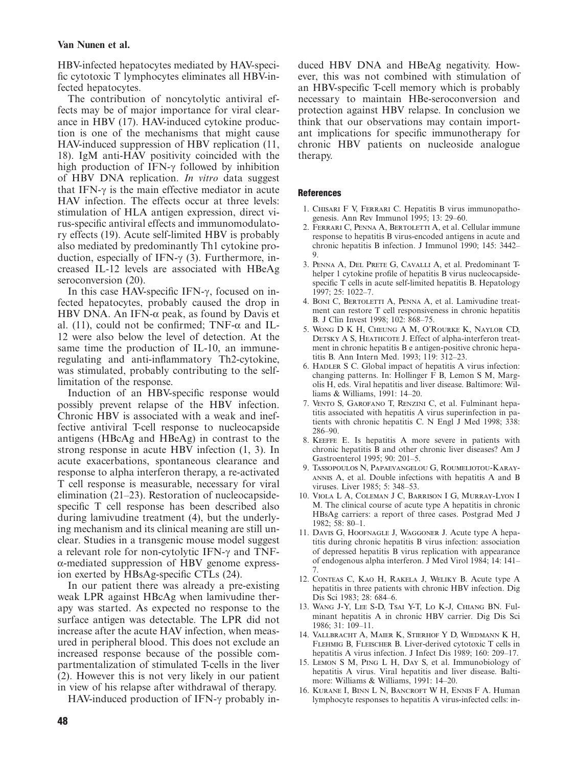# **Van Nunen et al.**

HBV-infected hepatocytes mediated by HAV-specific cytotoxic T lymphocytes eliminates all HBV-infected hepatocytes.

The contribution of noncytolytic antiviral effects may be of major importance for viral clearance in HBV (17). HAV-induced cytokine production is one of the mechanisms that might cause HAV-induced suppression of HBV replication (11, 18). IgM anti-HAV positivity coincided with the high production of IFN- $\gamma$  followed by inhibition of HBV DNA replication. *In vitro* data suggest that IFN- $\gamma$  is the main effective mediator in acute HAV infection. The effects occur at three levels: stimulation of HLA antigen expression, direct virus-specific antiviral effects and immunomodulatory effects (19). Acute self-limited HBV is probably also mediated by predominantly Th1 cytokine production, especially of IFN- $\gamma$  (3). Furthermore, increased IL-12 levels are associated with HBeAg seroconversion (20).

In this case HAV-specific IFN- $\gamma$ , focused on infected hepatocytes, probably caused the drop in HBV DNA. An IFN- $\alpha$  peak, as found by Davis et al. (11), could not be confirmed; TNF- $\alpha$  and IL-12 were also below the level of detection. At the same time the production of IL-10, an immuneregulating and anti-inflammatory Th2-cytokine, was stimulated, probably contributing to the selflimitation of the response.

Induction of an HBV-specific response would possibly prevent relapse of the HBV infection. Chronic HBV is associated with a weak and ineffective antiviral T-cell response to nucleocapside antigens (HBcAg and HBeAg) in contrast to the strong response in acute HBV infection (1, 3). In acute exacerbations, spontaneous clearance and response to alpha interferon therapy, a re-activated T cell response is measurable, necessary for viral elimination (21–23). Restoration of nucleocapsidespecific T cell response has been described also during lamivudine treatment (4), but the underlying mechanism and its clinical meaning are still unclear. Studies in a transgenic mouse model suggest a relevant role for non-cytolytic IFN- $\gamma$  and TNFa-mediated suppression of HBV genome expression exerted by HBsAg-specific CTLs (24).

In our patient there was already a pre-existing weak LPR against HBcAg when lamivudine therapy was started. As expected no response to the surface antigen was detectable. The LPR did not increase after the acute HAV infection, when measured in peripheral blood. This does not exclude an increased response because of the possible compartmentalization of stimulated T-cells in the liver (2). However this is not very likely in our patient in view of his relapse after withdrawal of therapy.

HAV-induced production of IFN- $\gamma$  probably in-

duced HBV DNA and HBeAg negativity. However, this was not combined with stimulation of an HBV-specific T-cell memory which is probably necessary to maintain HBe-seroconversion and protection against HBV relapse. In conclusion we think that our observations may contain important implications for specific immunotherapy for chronic HBV patients on nucleoside analogue therapy.

#### **References**

- 1. CHISARI F V, FERRARI C. Hepatitis B virus immunopathogenesis. Ann Rev Immunol 1995; 13: 29–60.
- 2. FERRARI C, PENNA A, BERTOLETTI A, et al. Cellular immune response to hepatitis B virus-encoded antigens in acute and chronic hepatitis B infection. J Immunol 1990; 145: 3442–
- 9.<br>3. PENNA A, DEL PRETE G, CAVALLI A, et al. Predominant Thelper 1 cytokine profile of hepatitis B virus nucleocapsidespecific T cells in acute self-limited hepatitis B. Hepatology 1997; 25: 1022–7.
- 4. BONI C, BERTOLETTI A, PENNA A, et al. Lamivudine treatment can restore T cell responsiveness in chronic hepatitis B. J Clin Invest 1998; 102: 868–75.
- 5. WONG D K H, CHEUNG A M, O'ROURKE K, NAYLOR CD, DETSKY A S, HEATHCOTE J. Effect of alpha-interferon treatment in chronic hepatitis B e antigen-positive chronic hepatitis B. Ann Intern Med. 1993; 119: 312–23.
- 6. HADLER S C. Global impact of hepatitis A virus infection: changing patterns. In: Hollinger F B, Lemon S M, Margolis H, eds. Viral hepatitis and liver disease. Baltimore: Williams & Williams, 1991: 14–20.
- 7. VENTO S, GAROFANO T, RENZINI C, et al. Fulminant hepatitis associated with hepatitis A virus superinfection in patients with chronic hepatitis C. N Engl J Med 1998; 338: 286–90.
- 8. KEEFFE E. Is hepatitis A more severe in patients with chronic hepatitis B and other chronic liver diseases? Am J Gastroenterol 1995; 90: 201–5.
- 9. TASSOPOULOS N, PAPAEVANGELOU G, ROUMELIOTOU-KARAY-ANNIS A, et al. Double infections with hepatitis A and B viruses. Liver 1985; 5: 348–53.
- 10. VIOLA L A, COLEMAN J C, BARRISON I G, MURRAY-LYON I M. The clinical course of acute type A hepatitis in chronic HBsAg carriers: a report of three cases. Postgrad Med J 1982; 58: 80–1.
- 11. DAVIS G, HOOFNAGLE J, WAGGONER J. Acute type A hepatitis during chronic hepatitis B virus infection: association of depressed hepatitis B virus replication with appearance of endogenous alpha interferon. J Med Virol 1984; 14: 141– 7.
- 12. CONTEAS C, KAO H, RAKELA J, WELIKY B. Acute type A hepatitis in three patients with chronic HBV infection. Dig Dis Sci 1983; 28: 684–6.
- 13. WANG J-Y, LEE S-D, TSAI Y-T, LO K-J, CHIANG BN. Fulminant hepatitis A in chronic HBV carrier. Dig Dis Sci 1986; 31: 109–11.
- 14. VALLBRACHT A, MAIER K, STIERHOF Y D, WIEDMANN K H, FLEHMIG B, FLEISCHER B. Liver-derived cytotoxic T cells in hepatitis A virus infection. J Infect Dis 1989; 160: 209–17.
- 15. LEMON S M, PING L H, DAY S, et al. Immunobiology of hepatitis A virus. Viral hepatitis and liver disease. Baltimore: Williams & Williams, 1991: 14–20.
- 16. KURANE I, BINN L N, BANCROFT W H, ENNIS F A. Human lymphocyte responses to hepatitis A virus-infected cells: in-